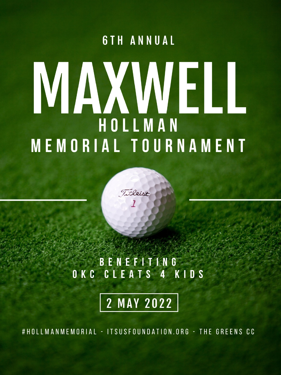## **6TH ANNUAL**

# MAXMELL HOLLMAN MEMORIAL TOURNAMENT

## **BENEFITING** OKC CLEATS 4 KIDS

Tirleist

# **2 MAY 2022**

#HOLLMANMEMORIAL - ITSUSFOUNDATION.ORG - THE GREENS CC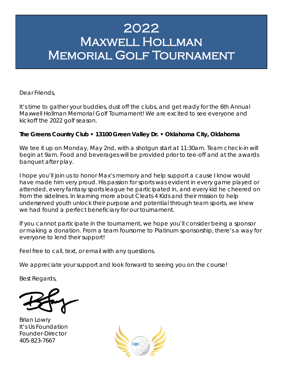## 2022 Maxwell Hollman Memorial Golf Tournament

Dear Friends,

It's time to gather your buddies, dust off the clubs, and get ready for the 6th Annual Maxwell Hollman Memorial Golf Tournament! We are excited to see everyone and kickoff the 2022 golf season.

#### **The Greens Country Club • 13100 Green Valley Dr. • Oklahoma City, Oklahoma**

We tee it up on Monday, May 2nd, with a shotgun start at 11:30am. Team check-in will begin at 9am. Food and beverages will be provided prior to tee-off and at the awards banquet after play.

I hope you'll join us to honor Max's memory and help support a cause I know would have made him very proud. His passion for sports was evident in every game played or attended, every fantasy sports league he participated in, and every kid he cheered on from the sidelines. In learning more about Cleats 4 Kids and their mission to help underserved youth unlock their purpose and potential through team sports, we knew we had found a perfect beneficiary for our tournament.

If you cannot participate in the tournament, we hope you'll consider being a sponsor or making a donation. From a team foursome to Platinum sponsorship, there's a way for everyone to lend their support!

Feel free to call, text, or email with any questions.

We appreciate your support and look forward to seeing you on the course!

Best Regards,

Brian Lowry It's Us Foundation Founder-Director 405-823-7667

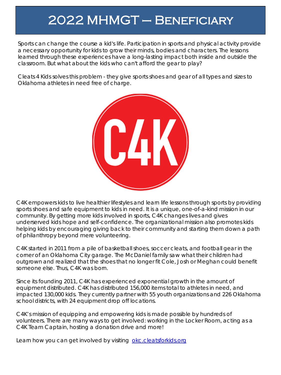# 2022 MHMGT – Beneficiary

Sports can change the course a kid's life. Participation in sports and physical activity provide a necessary opportunity for kids to grow their minds, bodies and characters. The lessons learned through these experiences have a long-lasting impact both inside and outside the classroom. But what about the kids who can't afford the gear to play?

Cleats 4 Kids solves this problem - they give sports shoes and gear of all types and sizes to Oklahoma athletes in need free of charge.



C4K empowers kids to live healthier lifestyles and learn life lessons through sports by providing sports shoes and safe equipment to kids in need. It is a unique, one-of-a-kind mission in our community. By getting more kids involved in sports, C4K changes lives and gives underserved kids hope and self-confidence. The organizational mission also promotes kids helping kids by encouraging giving back to their community and starting them down a path of philanthropy beyond mere volunteering.

C4K started in 2011 from a pile of basketball shoes, soccer cleats, and football gear in the corner of an Oklahoma City garage. The McDaniel family saw what their children had outgrown and realized that the shoes that no longer fit Cole, Josh or Meghan could benefit someone else. Thus, C4K was born.

Since its founding 2011, C4K has experienced exponential growth in the amount of equipment distributed. C4K has distributed 156,000 items total to athletes in need, and impacted 130,000 kids. They currently partner with 55 youth organizations and 226 Oklahoma school districts, with 24 equipment drop off locations.

C4K's mission of equipping and empowering kids is made possible by hundreds of volunteers. There are many ways to get involved: working in the Locker Room, acting as a C4K Team Captain, hosting a donation drive and more!

Learn how you can get involved by visiting [okc.cleatsforkids.org](https://okc.cleatsforkids.org/)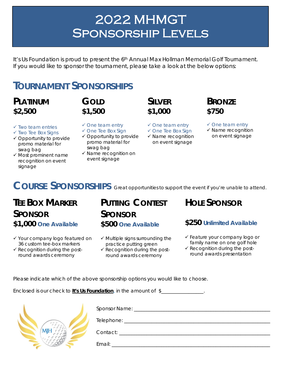# 2022 MHMGT SPONSORSHIP LEVELS

It's Us Foundation is proud to present the  $6<sup>th</sup>$  Annual Max Hollman Memorial Golf Tournament. If you would like to sponsor the tournament, please take a look at the below options:

## **TOURNAMENT SPONSORSHIPS**

#### **PLATINUM \$2,500**

## **GOLD \$1,500**

- $\checkmark$  Two team entries
- $\checkmark$  Two Tee Box Signs
- $\checkmark$  Opportunity to provide promo material for swag bag
- $\checkmark$  Most prominent name recognition on event signage
- One team entry
- $\checkmark$  One Tee Box Sign
- Opportunity to provide promo material for swag bag
- $\checkmark$  Name recognition on event signage
- **SILVER \$1,000**
- $\checkmark$  One team entry
- $\checkmark$  One Tee Box Sign
- $\checkmark$  Name recognition on event signage

#### $\checkmark$  One team entry

**BRONZE**

**\$750**

- $\checkmark$  Name recognition
- on event signage

## **COURSE SPONSORSHIPS** *Great opportunities to support the event if you're unable to attend.*

### **TEE BOX MARKER SPONSOR \$1,000** *One Available*

- Your company logo featured on 36 custom tee-box markers
- $\checkmark$  Recognition during the postround awards ceremony

## **PUTTING CONTEST SPONSOR**

#### **\$500** *One Available*

- $\checkmark$  Multiple signs surrounding the practice putting green
- $\checkmark$  Recognition during the postround awards ceremony

#### **HOLE SPONSOR**

#### **\$250** *Unlimited Available*

- Feature your company logo or family name on one golf hole
- $\checkmark$  Recognition during the postround awards presentation

Please indicate which of the above sponsorship options you would like to choose.

Enclosed is our check to **It's Us Foundation**, in the amount of \$\_\_\_\_\_\_\_\_\_\_\_\_\_\_\_\_\_.

|  | Telephone: |
|--|------------|
|  | Contact:   |
|  | Email:     |